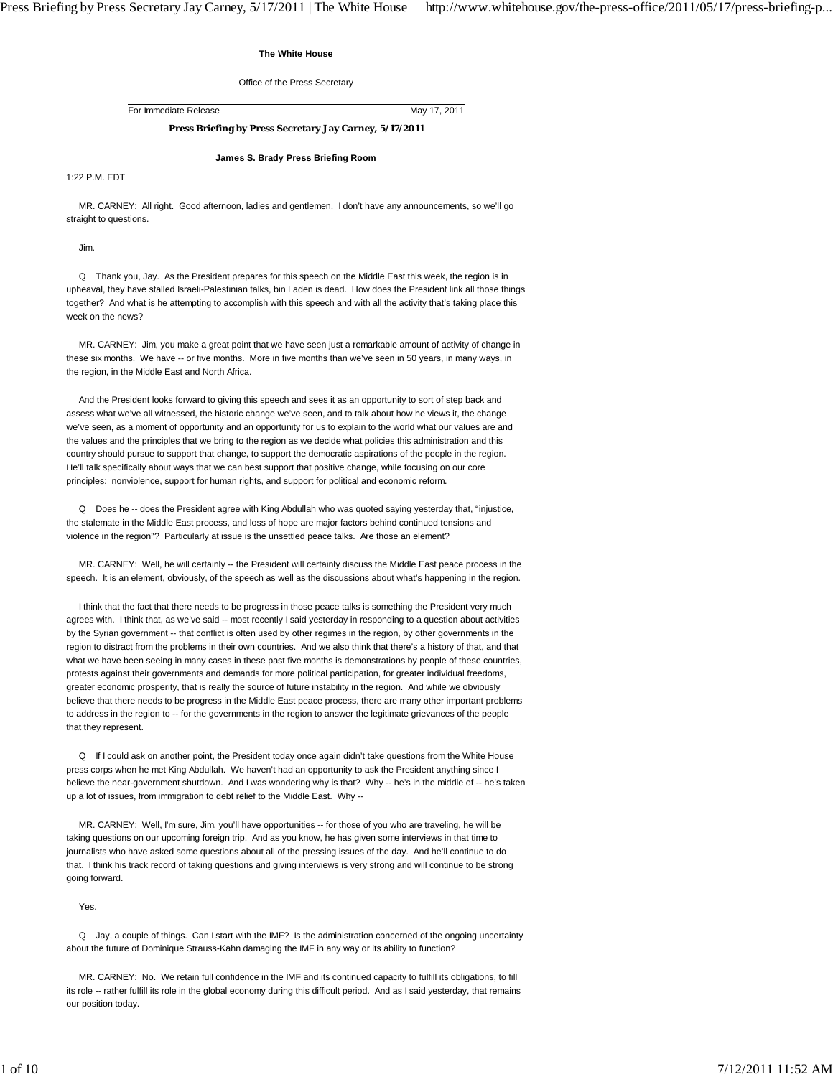## **The White House**

#### Office of the Press Secretary

For Immediate Release May 17, 2011

# **Press Briefing by Press Secretary Jay Carney, 5/17/2011**

**James S. Brady Press Briefing Room**

1:22 P.M. EDT

 MR. CARNEY: All right. Good afternoon, ladies and gentlemen. I don't have any announcements, so we'll go straight to questions.

Jim.

 Q Thank you, Jay. As the President prepares for this speech on the Middle East this week, the region is in upheaval, they have stalled Israeli-Palestinian talks, bin Laden is dead. How does the President link all those things together? And what is he attempting to accomplish with this speech and with all the activity that's taking place this week on the news?

 MR. CARNEY: Jim, you make a great point that we have seen just a remarkable amount of activity of change in these six months. We have -- or five months. More in five months than we've seen in 50 years, in many ways, in the region, in the Middle East and North Africa.

 And the President looks forward to giving this speech and sees it as an opportunity to sort of step back and assess what we've all witnessed, the historic change we've seen, and to talk about how he views it, the change we've seen, as a moment of opportunity and an opportunity for us to explain to the world what our values are and the values and the principles that we bring to the region as we decide what policies this administration and this country should pursue to support that change, to support the democratic aspirations of the people in the region. He'll talk specifically about ways that we can best support that positive change, while focusing on our core principles: nonviolence, support for human rights, and support for political and economic reform.

 Q Does he -- does the President agree with King Abdullah who was quoted saying yesterday that, "injustice, the stalemate in the Middle East process, and loss of hope are major factors behind continued tensions and violence in the region"? Particularly at issue is the unsettled peace talks. Are those an element?

 MR. CARNEY: Well, he will certainly -- the President will certainly discuss the Middle East peace process in the speech. It is an element, obviously, of the speech as well as the discussions about what's happening in the region.

 I think that the fact that there needs to be progress in those peace talks is something the President very much agrees with. I think that, as we've said -- most recently I said yesterday in responding to a question about activities by the Syrian government -- that conflict is often used by other regimes in the region, by other governments in the region to distract from the problems in their own countries. And we also think that there's a history of that, and that what we have been seeing in many cases in these past five months is demonstrations by people of these countries, protests against their governments and demands for more political participation, for greater individual freedoms, greater economic prosperity, that is really the source of future instability in the region. And while we obviously believe that there needs to be progress in the Middle East peace process, there are many other important problems to address in the region to -- for the governments in the region to answer the legitimate grievances of the people that they represent.

 Q If I could ask on another point, the President today once again didn't take questions from the White House press corps when he met King Abdullah. We haven't had an opportunity to ask the President anything since I believe the near-government shutdown. And I was wondering why is that? Why -- he's in the middle of -- he's taken up a lot of issues, from immigration to debt relief to the Middle East. Why --

 MR. CARNEY: Well, I'm sure, Jim, you'll have opportunities -- for those of you who are traveling, he will be taking questions on our upcoming foreign trip. And as you know, he has given some interviews in that time to journalists who have asked some questions about all of the pressing issues of the day. And he'll continue to do that. I think his track record of taking questions and giving interviews is very strong and will continue to be strong going forward.

Yes.

 Q Jay, a couple of things. Can I start with the IMF? Is the administration concerned of the ongoing uncertainty about the future of Dominique Strauss-Kahn damaging the IMF in any way or its ability to function?

 MR. CARNEY: No. We retain full confidence in the IMF and its continued capacity to fulfill its obligations, to fill its role -- rather fulfill its role in the global economy during this difficult period. And as I said yesterday, that remains our position today.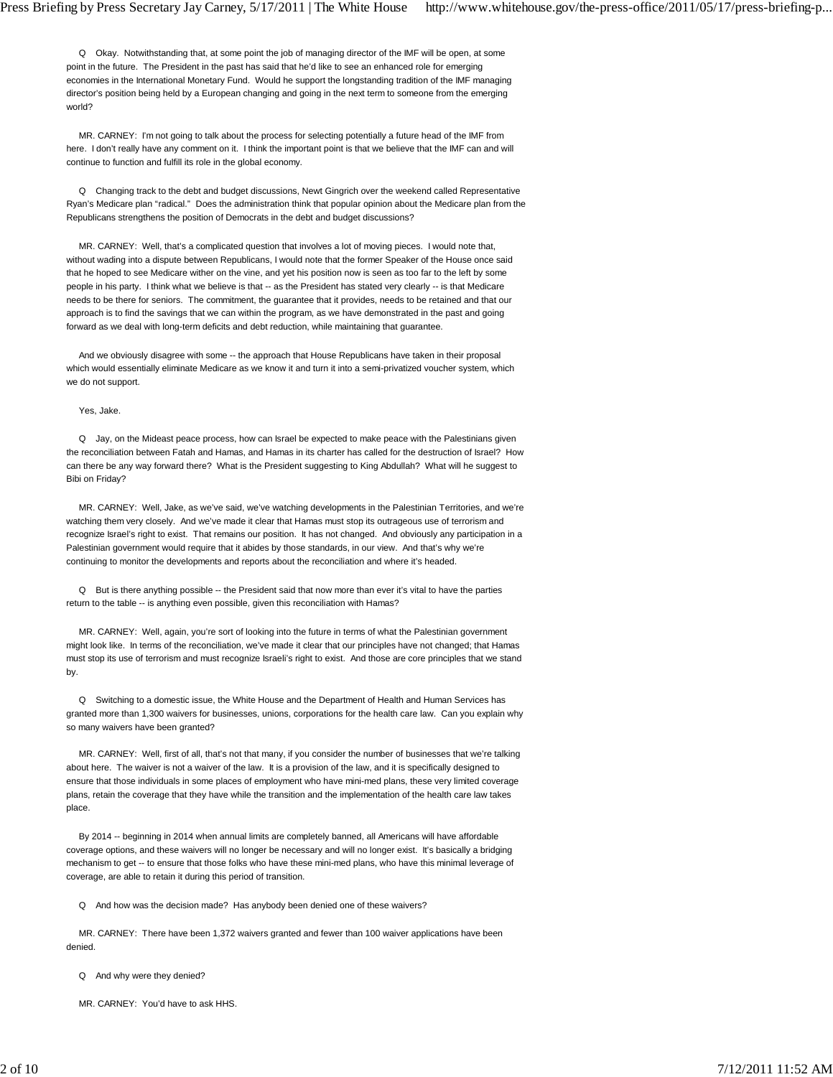Q Okay. Notwithstanding that, at some point the job of managing director of the IMF will be open, at some point in the future. The President in the past has said that he'd like to see an enhanced role for emerging economies in the International Monetary Fund. Would he support the longstanding tradition of the IMF managing director's position being held by a European changing and going in the next term to someone from the emerging world?

 MR. CARNEY: I'm not going to talk about the process for selecting potentially a future head of the IMF from here. I don't really have any comment on it. I think the important point is that we believe that the IMF can and will continue to function and fulfill its role in the global economy.

 Q Changing track to the debt and budget discussions, Newt Gingrich over the weekend called Representative Ryan's Medicare plan "radical." Does the administration think that popular opinion about the Medicare plan from the Republicans strengthens the position of Democrats in the debt and budget discussions?

 MR. CARNEY: Well, that's a complicated question that involves a lot of moving pieces. I would note that, without wading into a dispute between Republicans, I would note that the former Speaker of the House once said that he hoped to see Medicare wither on the vine, and yet his position now is seen as too far to the left by some people in his party. I think what we believe is that -- as the President has stated very clearly -- is that Medicare needs to be there for seniors. The commitment, the guarantee that it provides, needs to be retained and that our approach is to find the savings that we can within the program, as we have demonstrated in the past and going forward as we deal with long-term deficits and debt reduction, while maintaining that guarantee.

 And we obviously disagree with some -- the approach that House Republicans have taken in their proposal which would essentially eliminate Medicare as we know it and turn it into a semi-privatized voucher system, which we do not support.

#### Yes, Jake.

 Q Jay, on the Mideast peace process, how can Israel be expected to make peace with the Palestinians given the reconciliation between Fatah and Hamas, and Hamas in its charter has called for the destruction of Israel? How can there be any way forward there? What is the President suggesting to King Abdullah? What will he suggest to Bibi on Friday?

 MR. CARNEY: Well, Jake, as we've said, we've watching developments in the Palestinian Territories, and we're watching them very closely. And we've made it clear that Hamas must stop its outrageous use of terrorism and recognize Israel's right to exist. That remains our position. It has not changed. And obviously any participation in a Palestinian government would require that it abides by those standards, in our view. And that's why we're continuing to monitor the developments and reports about the reconciliation and where it's headed.

 Q But is there anything possible -- the President said that now more than ever it's vital to have the parties return to the table -- is anything even possible, given this reconciliation with Hamas?

 MR. CARNEY: Well, again, you're sort of looking into the future in terms of what the Palestinian government might look like. In terms of the reconciliation, we've made it clear that our principles have not changed; that Hamas must stop its use of terrorism and must recognize Israeli's right to exist. And those are core principles that we stand by.

 Q Switching to a domestic issue, the White House and the Department of Health and Human Services has granted more than 1,300 waivers for businesses, unions, corporations for the health care law. Can you explain why so many waivers have been granted?

 MR. CARNEY: Well, first of all, that's not that many, if you consider the number of businesses that we're talking about here. The waiver is not a waiver of the law. It is a provision of the law, and it is specifically designed to ensure that those individuals in some places of employment who have mini-med plans, these very limited coverage plans, retain the coverage that they have while the transition and the implementation of the health care law takes place.

 By 2014 -- beginning in 2014 when annual limits are completely banned, all Americans will have affordable coverage options, and these waivers will no longer be necessary and will no longer exist. It's basically a bridging mechanism to get -- to ensure that those folks who have these mini-med plans, who have this minimal leverage of coverage, are able to retain it during this period of transition.

Q And how was the decision made? Has anybody been denied one of these waivers?

 MR. CARNEY: There have been 1,372 waivers granted and fewer than 100 waiver applications have been denied.

Q And why were they denied?

MR. CARNEY: You'd have to ask HHS.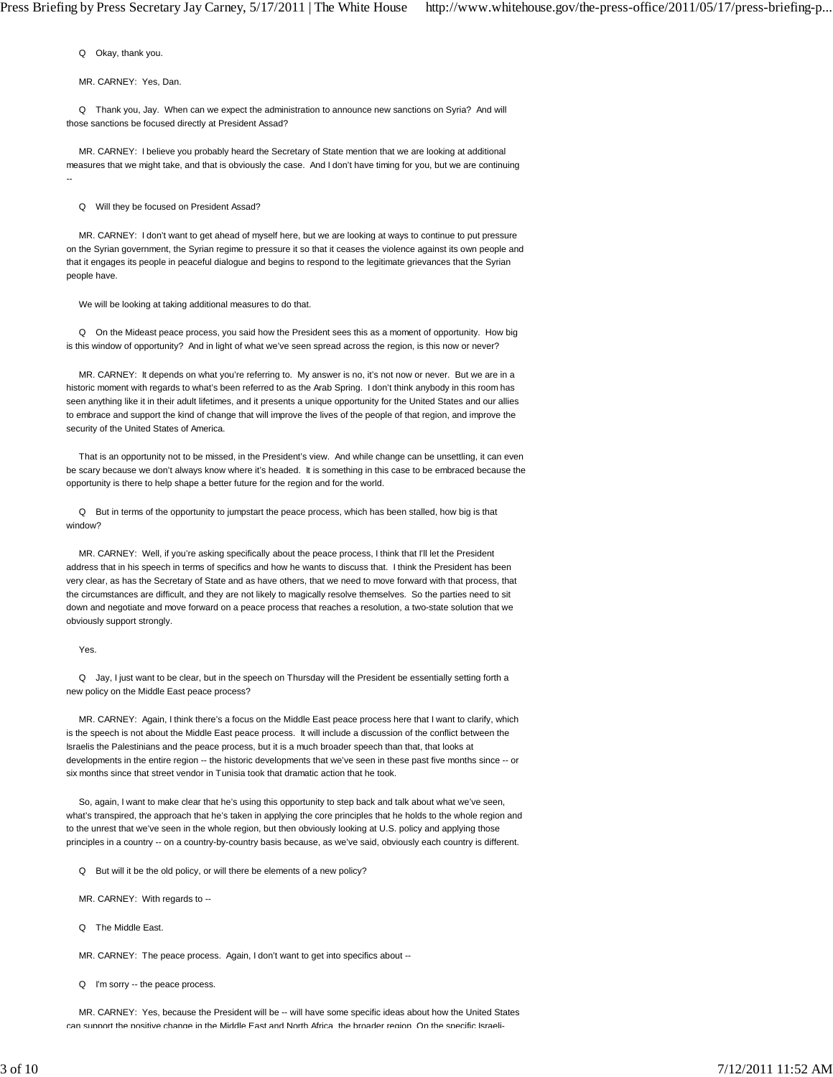Q Okay, thank you.

MR. CARNEY: Yes, Dan.

 Q Thank you, Jay. When can we expect the administration to announce new sanctions on Syria? And will those sanctions be focused directly at President Assad?

 MR. CARNEY: I believe you probably heard the Secretary of State mention that we are looking at additional measures that we might take, and that is obviously the case. And I don't have timing for you, but we are continuing --

Q Will they be focused on President Assad?

 MR. CARNEY: I don't want to get ahead of myself here, but we are looking at ways to continue to put pressure on the Syrian government, the Syrian regime to pressure it so that it ceases the violence against its own people and that it engages its people in peaceful dialogue and begins to respond to the legitimate grievances that the Syrian people have.

We will be looking at taking additional measures to do that.

 Q On the Mideast peace process, you said how the President sees this as a moment of opportunity. How big is this window of opportunity? And in light of what we've seen spread across the region, is this now or never?

 MR. CARNEY: It depends on what you're referring to. My answer is no, it's not now or never. But we are in a historic moment with regards to what's been referred to as the Arab Spring. I don't think anybody in this room has seen anything like it in their adult lifetimes, and it presents a unique opportunity for the United States and our allies to embrace and support the kind of change that will improve the lives of the people of that region, and improve the security of the United States of America.

 That is an opportunity not to be missed, in the President's view. And while change can be unsettling, it can even be scary because we don't always know where it's headed. It is something in this case to be embraced because the opportunity is there to help shape a better future for the region and for the world.

 Q But in terms of the opportunity to jumpstart the peace process, which has been stalled, how big is that window?

 MR. CARNEY: Well, if you're asking specifically about the peace process, I think that I'll let the President address that in his speech in terms of specifics and how he wants to discuss that. I think the President has been very clear, as has the Secretary of State and as have others, that we need to move forward with that process, that the circumstances are difficult, and they are not likely to magically resolve themselves. So the parties need to sit down and negotiate and move forward on a peace process that reaches a resolution, a two-state solution that we obviously support strongly.

#### Yes.

 Q Jay, I just want to be clear, but in the speech on Thursday will the President be essentially setting forth a new policy on the Middle East peace process?

 MR. CARNEY: Again, I think there's a focus on the Middle East peace process here that I want to clarify, which is the speech is not about the Middle East peace process. It will include a discussion of the conflict between the Israelis the Palestinians and the peace process, but it is a much broader speech than that, that looks at developments in the entire region -- the historic developments that we've seen in these past five months since -- or six months since that street vendor in Tunisia took that dramatic action that he took.

 So, again, I want to make clear that he's using this opportunity to step back and talk about what we've seen, what's transpired, the approach that he's taken in applying the core principles that he holds to the whole region and to the unrest that we've seen in the whole region, but then obviously looking at U.S. policy and applying those principles in a country -- on a country-by-country basis because, as we've said, obviously each country is different.

- Q But will it be the old policy, or will there be elements of a new policy?
- MR. CARNEY: With regards to --
- Q The Middle East.

MR. CARNEY: The peace process. Again, I don't want to get into specifics about --

Q I'm sorry -- the peace process.

 MR. CARNEY: Yes, because the President will be -- will have some specific ideas about how the United States can support the positive change in the Middle East and North Africa the broader region On the specific Israeli-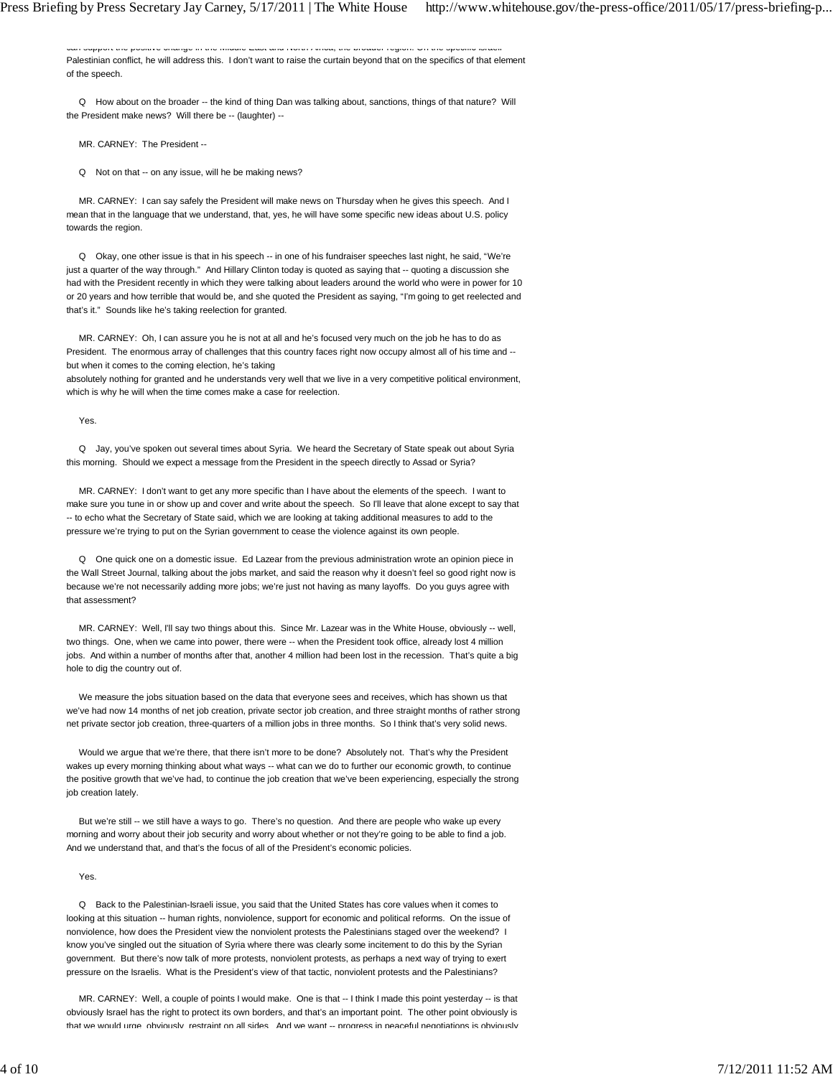can support the positive change in the Middle East and North Africa, the broader region. On the specific Israeli Palestinian conflict, he will address this. I don't want to raise the curtain beyond that on the specifics of that element of the speech.

 Q How about on the broader -- the kind of thing Dan was talking about, sanctions, things of that nature? Will the President make news? Will there be -- (laughter) --

MR. CARNEY: The President --

Q Not on that -- on any issue, will he be making news?

 MR. CARNEY: I can say safely the President will make news on Thursday when he gives this speech. And I mean that in the language that we understand, that, yes, he will have some specific new ideas about U.S. policy towards the region.

 Q Okay, one other issue is that in his speech -- in one of his fundraiser speeches last night, he said, "We're just a quarter of the way through." And Hillary Clinton today is quoted as saying that -- quoting a discussion she had with the President recently in which they were talking about leaders around the world who were in power for 10 or 20 years and how terrible that would be, and she quoted the President as saying, "I'm going to get reelected and that's it." Sounds like he's taking reelection for granted.

 MR. CARNEY: Oh, I can assure you he is not at all and he's focused very much on the job he has to do as President. The enormous array of challenges that this country faces right now occupy almost all of his time and - but when it comes to the coming election, he's taking

absolutely nothing for granted and he understands very well that we live in a very competitive political environment, which is why he will when the time comes make a case for reelection.

Yes.

 Q Jay, you've spoken out several times about Syria. We heard the Secretary of State speak out about Syria this morning. Should we expect a message from the President in the speech directly to Assad or Syria?

 MR. CARNEY: I don't want to get any more specific than I have about the elements of the speech. I want to make sure you tune in or show up and cover and write about the speech. So I'll leave that alone except to say that -- to echo what the Secretary of State said, which we are looking at taking additional measures to add to the pressure we're trying to put on the Syrian government to cease the violence against its own people.

 Q One quick one on a domestic issue. Ed Lazear from the previous administration wrote an opinion piece in the Wall Street Journal, talking about the jobs market, and said the reason why it doesn't feel so good right now is because we're not necessarily adding more jobs; we're just not having as many layoffs. Do you guys agree with that assessment?

 MR. CARNEY: Well, I'll say two things about this. Since Mr. Lazear was in the White House, obviously -- well, two things. One, when we came into power, there were -- when the President took office, already lost 4 million jobs. And within a number of months after that, another 4 million had been lost in the recession. That's quite a big hole to dig the country out of.

 We measure the jobs situation based on the data that everyone sees and receives, which has shown us that we've had now 14 months of net job creation, private sector job creation, and three straight months of rather strong net private sector job creation, three-quarters of a million jobs in three months. So I think that's very solid news.

 Would we argue that we're there, that there isn't more to be done? Absolutely not. That's why the President wakes up every morning thinking about what ways -- what can we do to further our economic growth, to continue the positive growth that we've had, to continue the job creation that we've been experiencing, especially the strong job creation lately.

But we're still -- we still have a ways to go. There's no question. And there are people who wake up every morning and worry about their job security and worry about whether or not they're going to be able to find a job. And we understand that, and that's the focus of all of the President's economic policies.

Yes.

 Q Back to the Palestinian-Israeli issue, you said that the United States has core values when it comes to looking at this situation -- human rights, nonviolence, support for economic and political reforms. On the issue of nonviolence, how does the President view the nonviolent protests the Palestinians staged over the weekend? I know you've singled out the situation of Syria where there was clearly some incitement to do this by the Syrian government. But there's now talk of more protests, nonviolent protests, as perhaps a next way of trying to exert pressure on the Israelis. What is the President's view of that tactic, nonviolent protests and the Palestinians?

 MR. CARNEY: Well, a couple of points I would make. One is that -- I think I made this point yesterday -- is that obviously Israel has the right to protect its own borders, and that's an important point. The other point obviously is that we would urge obviously restraint on all sides. And we want -- progress in peaceful negotiations is obviously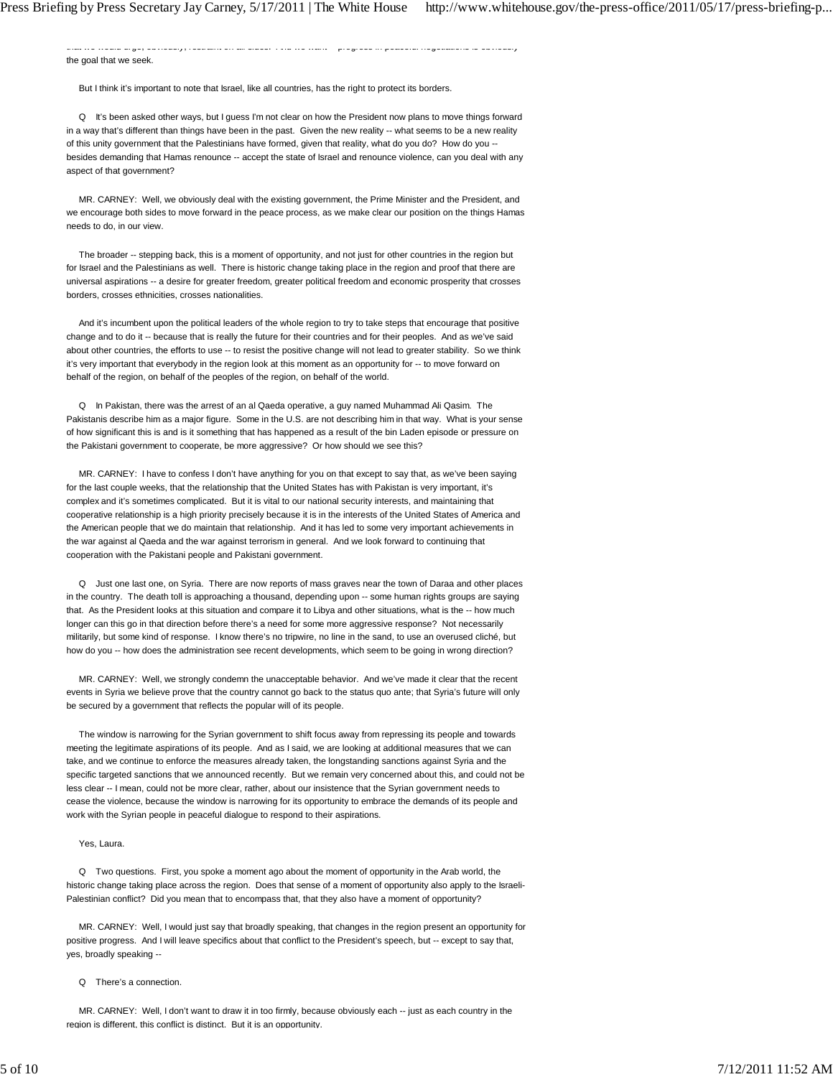that we would urge, obviously, restraint on all sides. And we want progress in peaceful negotiations is obviously the goal that we seek.

But I think it's important to note that Israel, like all countries, has the right to protect its borders.

 Q It's been asked other ways, but I guess I'm not clear on how the President now plans to move things forward in a way that's different than things have been in the past. Given the new reality -- what seems to be a new reality of this unity government that the Palestinians have formed, given that reality, what do you do? How do you - besides demanding that Hamas renounce -- accept the state of Israel and renounce violence, can you deal with any aspect of that government?

 MR. CARNEY: Well, we obviously deal with the existing government, the Prime Minister and the President, and we encourage both sides to move forward in the peace process, as we make clear our position on the things Hamas needs to do, in our view.

The broader -- stepping back, this is a moment of opportunity, and not just for other countries in the region but for Israel and the Palestinians as well. There is historic change taking place in the region and proof that there are universal aspirations -- a desire for greater freedom, greater political freedom and economic prosperity that crosses borders, crosses ethnicities, crosses nationalities.

 And it's incumbent upon the political leaders of the whole region to try to take steps that encourage that positive change and to do it -- because that is really the future for their countries and for their peoples. And as we've said about other countries, the efforts to use -- to resist the positive change will not lead to greater stability. So we think it's very important that everybody in the region look at this moment as an opportunity for -- to move forward on behalf of the region, on behalf of the peoples of the region, on behalf of the world.

 Q In Pakistan, there was the arrest of an al Qaeda operative, a guy named Muhammad Ali Qasim. The Pakistanis describe him as a major figure. Some in the U.S. are not describing him in that way. What is your sense of how significant this is and is it something that has happened as a result of the bin Laden episode or pressure on the Pakistani government to cooperate, be more aggressive? Or how should we see this?

 MR. CARNEY: I have to confess I don't have anything for you on that except to say that, as we've been saying for the last couple weeks, that the relationship that the United States has with Pakistan is very important, it's complex and it's sometimes complicated. But it is vital to our national security interests, and maintaining that cooperative relationship is a high priority precisely because it is in the interests of the United States of America and the American people that we do maintain that relationship. And it has led to some very important achievements in the war against al Qaeda and the war against terrorism in general. And we look forward to continuing that cooperation with the Pakistani people and Pakistani government.

 Q Just one last one, on Syria. There are now reports of mass graves near the town of Daraa and other places in the country. The death toll is approaching a thousand, depending upon -- some human rights groups are saying that. As the President looks at this situation and compare it to Libya and other situations, what is the -- how much longer can this go in that direction before there's a need for some more aggressive response? Not necessarily militarily, but some kind of response. I know there's no tripwire, no line in the sand, to use an overused cliché, but how do you -- how does the administration see recent developments, which seem to be going in wrong direction?

 MR. CARNEY: Well, we strongly condemn the unacceptable behavior. And we've made it clear that the recent events in Syria we believe prove that the country cannot go back to the status quo ante; that Syria's future will only be secured by a government that reflects the popular will of its people.

 The window is narrowing for the Syrian government to shift focus away from repressing its people and towards meeting the legitimate aspirations of its people. And as I said, we are looking at additional measures that we can take, and we continue to enforce the measures already taken, the longstanding sanctions against Syria and the specific targeted sanctions that we announced recently. But we remain very concerned about this, and could not be less clear -- I mean, could not be more clear, rather, about our insistence that the Syrian government needs to cease the violence, because the window is narrowing for its opportunity to embrace the demands of its people and work with the Syrian people in peaceful dialogue to respond to their aspirations.

# Yes, Laura.

 Q Two questions. First, you spoke a moment ago about the moment of opportunity in the Arab world, the historic change taking place across the region. Does that sense of a moment of opportunity also apply to the Israeli-Palestinian conflict? Did you mean that to encompass that, that they also have a moment of opportunity?

 MR. CARNEY: Well, I would just say that broadly speaking, that changes in the region present an opportunity for positive progress. And I will leave specifics about that conflict to the President's speech, but -- except to say that, yes, broadly speaking --

#### Q There's a connection.

MR. CARNEY: Well, I don't want to draw it in too firmly, because obviously each -- just as each country in the region is different, this conflict is distinct. But it is an opportunity.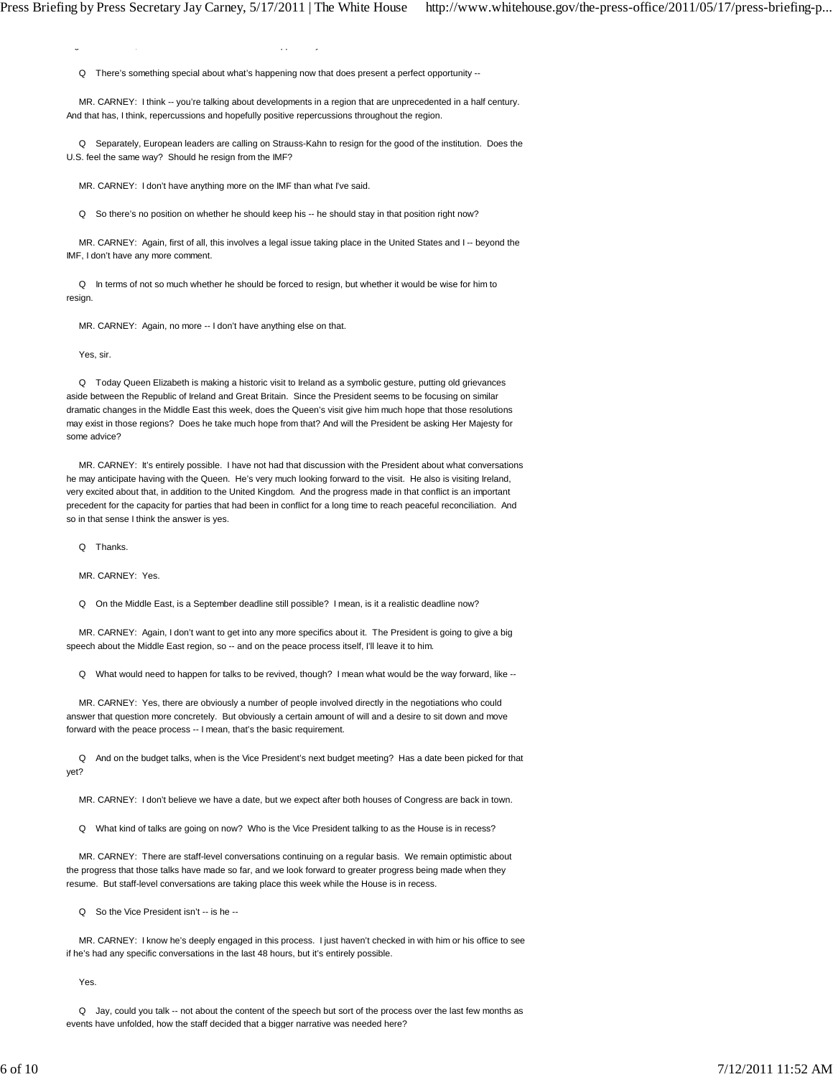$g = \frac{1}{2} \int_0^1 f(x) \, dx$ 

Q There's something special about what's happening now that does present a perfect opportunity --

 MR. CARNEY: I think -- you're talking about developments in a region that are unprecedented in a half century. And that has, I think, repercussions and hopefully positive repercussions throughout the region.

 Q Separately, European leaders are calling on Strauss-Kahn to resign for the good of the institution. Does the U.S. feel the same way? Should he resign from the IMF?

MR. CARNEY: I don't have anything more on the IMF than what I've said.

Q So there's no position on whether he should keep his -- he should stay in that position right now?

 MR. CARNEY: Again, first of all, this involves a legal issue taking place in the United States and I -- beyond the IMF, I don't have any more comment.

 Q In terms of not so much whether he should be forced to resign, but whether it would be wise for him to resign.

MR. CARNEY: Again, no more -- I don't have anything else on that.

Yes, sir.

 Q Today Queen Elizabeth is making a historic visit to Ireland as a symbolic gesture, putting old grievances aside between the Republic of Ireland and Great Britain. Since the President seems to be focusing on similar dramatic changes in the Middle East this week, does the Queen's visit give him much hope that those resolutions may exist in those regions? Does he take much hope from that? And will the President be asking Her Majesty for some advice?

 MR. CARNEY: It's entirely possible. I have not had that discussion with the President about what conversations he may anticipate having with the Queen. He's very much looking forward to the visit. He also is visiting Ireland, very excited about that, in addition to the United Kingdom. And the progress made in that conflict is an important precedent for the capacity for parties that had been in conflict for a long time to reach peaceful reconciliation. And so in that sense I think the answer is yes.

Q Thanks.

MR. CARNEY: Yes.

Q On the Middle East, is a September deadline still possible? I mean, is it a realistic deadline now?

 MR. CARNEY: Again, I don't want to get into any more specifics about it. The President is going to give a big speech about the Middle East region, so -- and on the peace process itself, I'll leave it to him.

Q What would need to happen for talks to be revived, though? I mean what would be the way forward, like --

 MR. CARNEY: Yes, there are obviously a number of people involved directly in the negotiations who could answer that question more concretely. But obviously a certain amount of will and a desire to sit down and move forward with the peace process -- I mean, that's the basic requirement.

 Q And on the budget talks, when is the Vice President's next budget meeting? Has a date been picked for that yet?

MR. CARNEY: I don't believe we have a date, but we expect after both houses of Congress are back in town.

Q What kind of talks are going on now? Who is the Vice President talking to as the House is in recess?

 MR. CARNEY: There are staff-level conversations continuing on a regular basis. We remain optimistic about the progress that those talks have made so far, and we look forward to greater progress being made when they resume. But staff-level conversations are taking place this week while the House is in recess.

Q So the Vice President isn't -- is he --

 MR. CARNEY: I know he's deeply engaged in this process. I just haven't checked in with him or his office to see if he's had any specific conversations in the last 48 hours, but it's entirely possible.

Yes.

 Q Jay, could you talk -- not about the content of the speech but sort of the process over the last few months as events have unfolded, how the staff decided that a bigger narrative was needed here?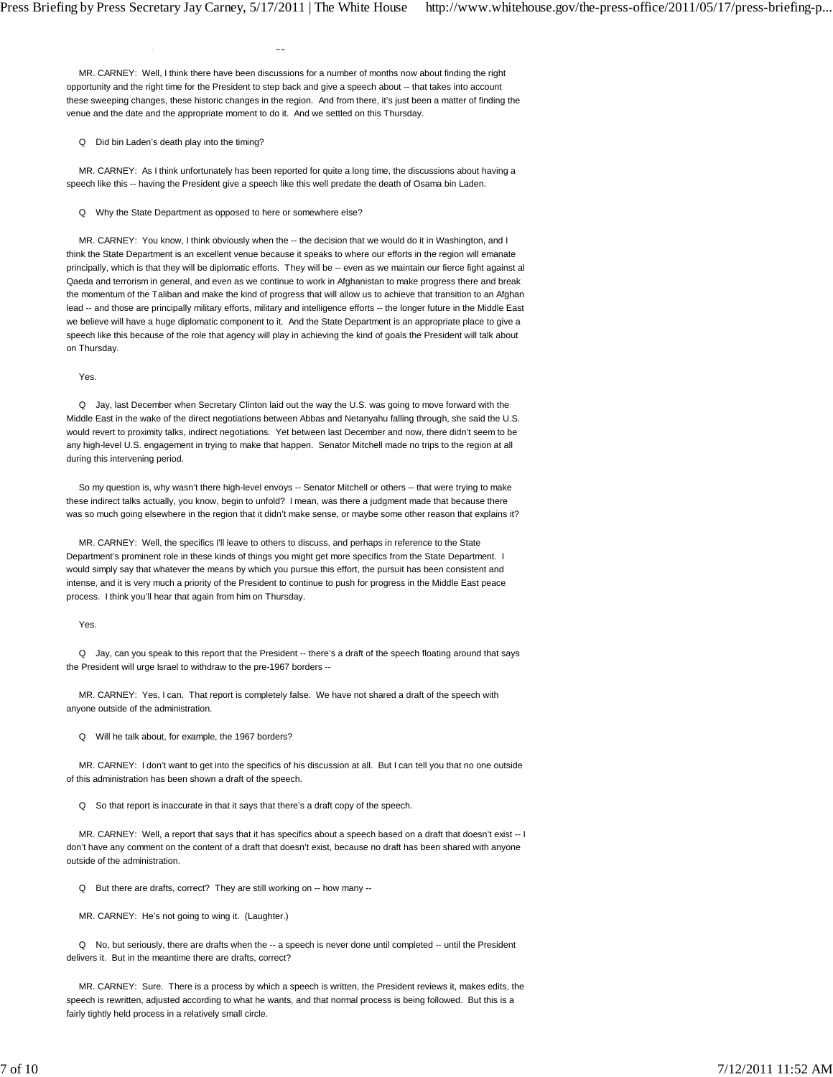, gg

 MR. CARNEY: Well, I think there have been discussions for a number of months now about finding the right opportunity and the right time for the President to step back and give a speech about -- that takes into account these sweeping changes, these historic changes in the region. And from there, it's just been a matter of finding the venue and the date and the appropriate moment to do it. And we settled on this Thursday.

## Q Did bin Laden's death play into the timing?

 MR. CARNEY: As I think unfortunately has been reported for quite a long time, the discussions about having a speech like this -- having the President give a speech like this well predate the death of Osama bin Laden.

Q Why the State Department as opposed to here or somewhere else?

MR. CARNEY: You know, I think obviously when the -- the decision that we would do it in Washington, and I think the State Department is an excellent venue because it speaks to where our efforts in the region will emanate principally, which is that they will be diplomatic efforts. They will be -- even as we maintain our fierce fight against al Qaeda and terrorism in general, and even as we continue to work in Afghanistan to make progress there and break the momentum of the Taliban and make the kind of progress that will allow us to achieve that transition to an Afghan lead -- and those are principally military efforts, military and intelligence efforts -- the longer future in the Middle East we believe will have a huge diplomatic component to it. And the State Department is an appropriate place to give a speech like this because of the role that agency will play in achieving the kind of goals the President will talk about on Thursday.

Yes.

 Q Jay, last December when Secretary Clinton laid out the way the U.S. was going to move forward with the Middle East in the wake of the direct negotiations between Abbas and Netanyahu falling through, she said the U.S. would revert to proximity talks, indirect negotiations. Yet between last December and now, there didn't seem to be any high-level U.S. engagement in trying to make that happen. Senator Mitchell made no trips to the region at all during this intervening period.

 So my question is, why wasn't there high-level envoys -- Senator Mitchell or others -- that were trying to make these indirect talks actually, you know, begin to unfold? I mean, was there a judgment made that because there was so much going elsewhere in the region that it didn't make sense, or maybe some other reason that explains it?

 MR. CARNEY: Well, the specifics I'll leave to others to discuss, and perhaps in reference to the State Department's prominent role in these kinds of things you might get more specifics from the State Department. I would simply say that whatever the means by which you pursue this effort, the pursuit has been consistent and intense, and it is very much a priority of the President to continue to push for progress in the Middle East peace process. I think you'll hear that again from him on Thursday.

Yes.

 Q Jay, can you speak to this report that the President -- there's a draft of the speech floating around that says the President will urge Israel to withdraw to the pre-1967 borders --

 MR. CARNEY: Yes, I can. That report is completely false. We have not shared a draft of the speech with anyone outside of the administration.

Q Will he talk about, for example, the 1967 borders?

 MR. CARNEY: I don't want to get into the specifics of his discussion at all. But I can tell you that no one outside of this administration has been shown a draft of the speech.

Q So that report is inaccurate in that it says that there's a draft copy of the speech.

 MR. CARNEY: Well, a report that says that it has specifics about a speech based on a draft that doesn't exist -- I don't have any comment on the content of a draft that doesn't exist, because no draft has been shared with anyone outside of the administration.

Q But there are drafts, correct? They are still working on -- how many --

MR. CARNEY: He's not going to wing it. (Laughter.)

 Q No, but seriously, there are drafts when the -- a speech is never done until completed -- until the President delivers it. But in the meantime there are drafts, correct?

 MR. CARNEY: Sure. There is a process by which a speech is written, the President reviews it, makes edits, the speech is rewritten, adjusted according to what he wants, and that normal process is being followed. But this is a fairly tightly held process in a relatively small circle.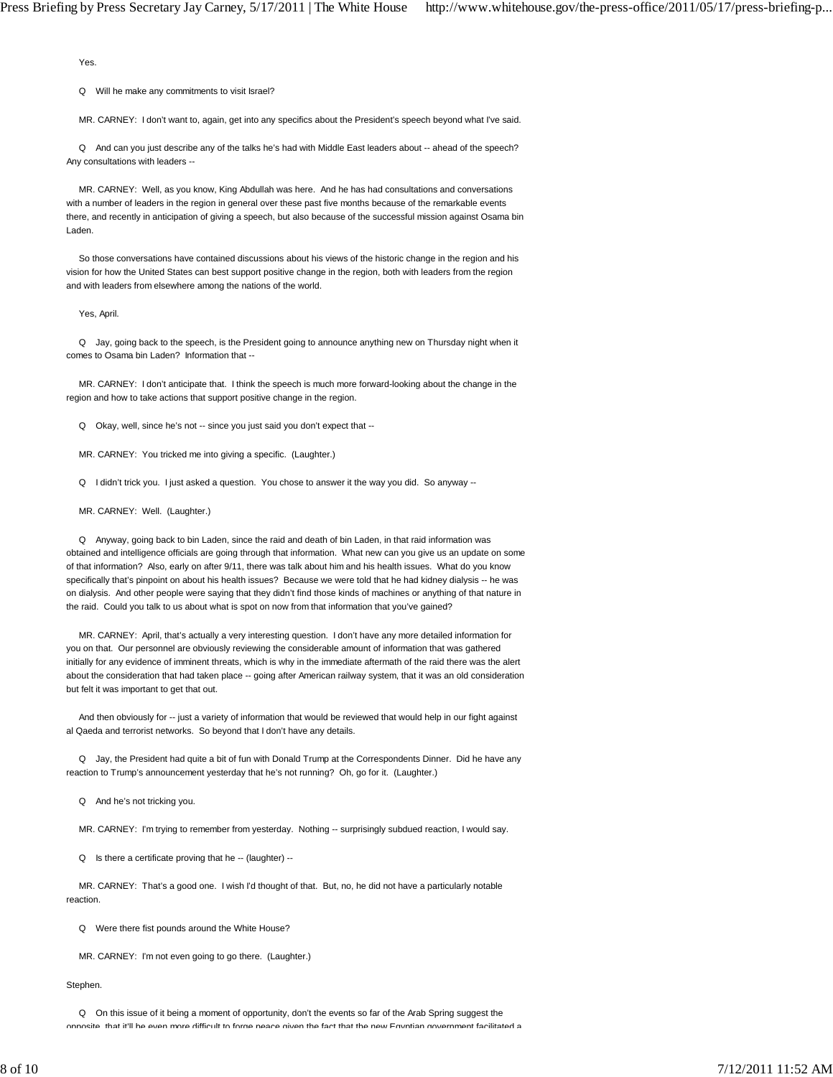Yes.

Q Will he make any commitments to visit Israel?

MR. CARNEY: I don't want to, again, get into any specifics about the President's speech beyond what I've said.

Q And can you just describe any of the talks he's had with Middle East leaders about -- ahead of the speech? Any consultations with leaders --

 MR. CARNEY: Well, as you know, King Abdullah was here. And he has had consultations and conversations with a number of leaders in the region in general over these past five months because of the remarkable events there, and recently in anticipation of giving a speech, but also because of the successful mission against Osama bin Laden.

 So those conversations have contained discussions about his views of the historic change in the region and his vision for how the United States can best support positive change in the region, both with leaders from the region and with leaders from elsewhere among the nations of the world.

Yes, April.

 Q Jay, going back to the speech, is the President going to announce anything new on Thursday night when it comes to Osama bin Laden? Information that --

 MR. CARNEY: I don't anticipate that. I think the speech is much more forward-looking about the change in the region and how to take actions that support positive change in the region.

Q Okay, well, since he's not -- since you just said you don't expect that --

MR. CARNEY: You tricked me into giving a specific. (Laughter.)

Q I didn't trick you. I just asked a question. You chose to answer it the way you did. So anyway --

MR. CARNEY: Well. (Laughter.)

 Q Anyway, going back to bin Laden, since the raid and death of bin Laden, in that raid information was obtained and intelligence officials are going through that information. What new can you give us an update on some of that information? Also, early on after 9/11, there was talk about him and his health issues. What do you know specifically that's pinpoint on about his health issues? Because we were told that he had kidney dialysis -- he was on dialysis. And other people were saying that they didn't find those kinds of machines or anything of that nature in the raid. Could you talk to us about what is spot on now from that information that you've gained?

 MR. CARNEY: April, that's actually a very interesting question. I don't have any more detailed information for you on that. Our personnel are obviously reviewing the considerable amount of information that was gathered initially for any evidence of imminent threats, which is why in the immediate aftermath of the raid there was the alert about the consideration that had taken place -- going after American railway system, that it was an old consideration but felt it was important to get that out.

 And then obviously for -- just a variety of information that would be reviewed that would help in our fight against al Qaeda and terrorist networks. So beyond that I don't have any details.

 Q Jay, the President had quite a bit of fun with Donald Trump at the Correspondents Dinner. Did he have any reaction to Trump's announcement yesterday that he's not running? Oh, go for it. (Laughter.)

Q And he's not tricking you.

MR. CARNEY: I'm trying to remember from yesterday. Nothing -- surprisingly subdued reaction, I would say.

Q Is there a certificate proving that he -- (laughter) --

 MR. CARNEY: That's a good one. I wish I'd thought of that. But, no, he did not have a particularly notable reaction.

Q Were there fist pounds around the White House?

MR. CARNEY: I'm not even going to go there. (Laughter.)

Stephen.

Q On this issue of it being a moment of opportunity, don't the events so far of the Arab Spring suggest the

opposite that it'll be even more difficult to forge peace given the fact that the new Egyptian government facilitated a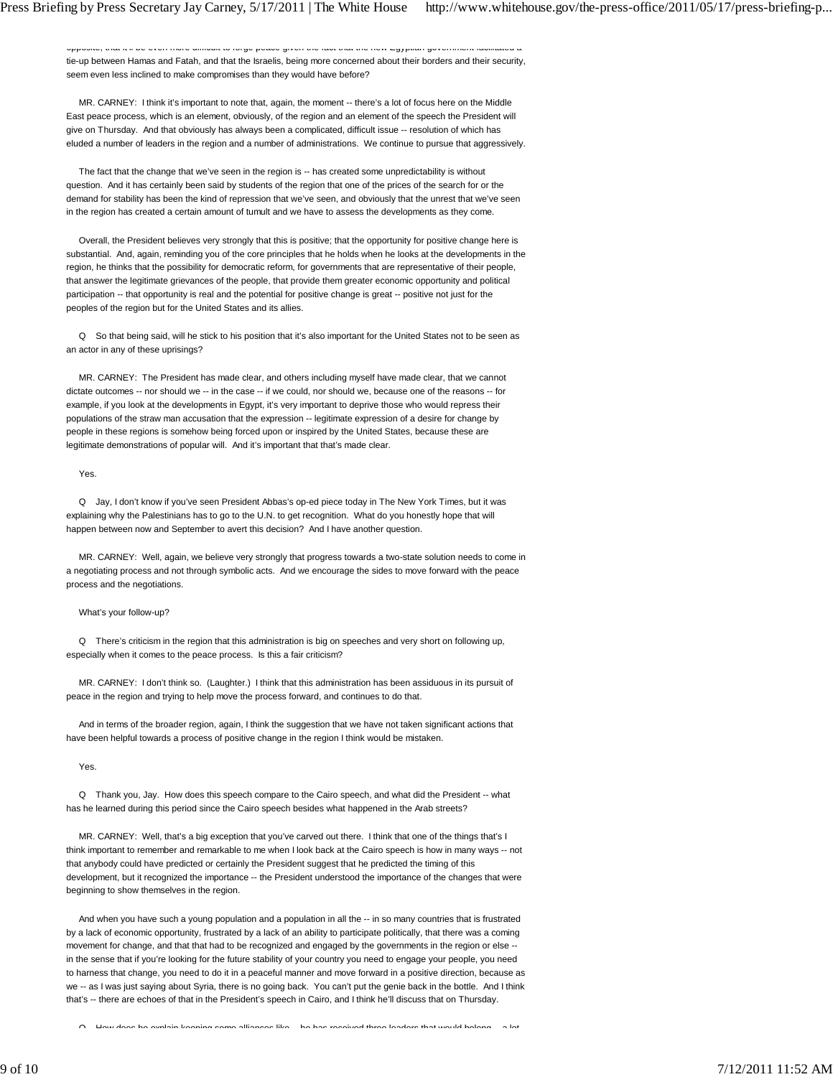opposite, that it less that it leads an indicated to forge peace given the fact that the new Egyptian government fac tie-up between Hamas and Fatah, and that the Israelis, being more concerned about their borders and their security, seem even less inclined to make compromises than they would have before?

 MR. CARNEY: I think it's important to note that, again, the moment -- there's a lot of focus here on the Middle East peace process, which is an element, obviously, of the region and an element of the speech the President will give on Thursday. And that obviously has always been a complicated, difficult issue -- resolution of which has eluded a number of leaders in the region and a number of administrations. We continue to pursue that aggressively.

 The fact that the change that we've seen in the region is -- has created some unpredictability is without question. And it has certainly been said by students of the region that one of the prices of the search for or the demand for stability has been the kind of repression that we've seen, and obviously that the unrest that we've seen in the region has created a certain amount of tumult and we have to assess the developments as they come.

 Overall, the President believes very strongly that this is positive; that the opportunity for positive change here is substantial. And, again, reminding you of the core principles that he holds when he looks at the developments in the region, he thinks that the possibility for democratic reform, for governments that are representative of their people, that answer the legitimate grievances of the people, that provide them greater economic opportunity and political participation -- that opportunity is real and the potential for positive change is great -- positive not just for the peoples of the region but for the United States and its allies.

 Q So that being said, will he stick to his position that it's also important for the United States not to be seen as an actor in any of these uprisings?

 MR. CARNEY: The President has made clear, and others including myself have made clear, that we cannot dictate outcomes -- nor should we -- in the case -- if we could, nor should we, because one of the reasons -- for example, if you look at the developments in Egypt, it's very important to deprive those who would repress their populations of the straw man accusation that the expression -- legitimate expression of a desire for change by people in these regions is somehow being forced upon or inspired by the United States, because these are legitimate demonstrations of popular will. And it's important that that's made clear.

Yes.

 Q Jay, I don't know if you've seen President Abbas's op-ed piece today in The New York Times, but it was explaining why the Palestinians has to go to the U.N. to get recognition. What do you honestly hope that will happen between now and September to avert this decision? And I have another question.

 MR. CARNEY: Well, again, we believe very strongly that progress towards a two-state solution needs to come in a negotiating process and not through symbolic acts. And we encourage the sides to move forward with the peace process and the negotiations.

What's your follow-up?

 Q There's criticism in the region that this administration is big on speeches and very short on following up, especially when it comes to the peace process. Is this a fair criticism?

 MR. CARNEY: I don't think so. (Laughter.) I think that this administration has been assiduous in its pursuit of peace in the region and trying to help move the process forward, and continues to do that.

 And in terms of the broader region, again, I think the suggestion that we have not taken significant actions that have been helpful towards a process of positive change in the region I think would be mistaken.

Yes.

 Q Thank you, Jay. How does this speech compare to the Cairo speech, and what did the President -- what has he learned during this period since the Cairo speech besides what happened in the Arab streets?

 MR. CARNEY: Well, that's a big exception that you've carved out there. I think that one of the things that's I think important to remember and remarkable to me when I look back at the Cairo speech is how in many ways -- not that anybody could have predicted or certainly the President suggest that he predicted the timing of this development, but it recognized the importance -- the President understood the importance of the changes that were beginning to show themselves in the region.

And when you have such a young population and a population in all the -- in so many countries that is frustrated by a lack of economic opportunity, frustrated by a lack of an ability to participate politically, that there was a coming movement for change, and that that had to be recognized and engaged by the governments in the region or else - in the sense that if you're looking for the future stability of your country you need to engage your people, you need to harness that change, you need to do it in a peaceful manner and move forward in a positive direction, because as we -- as I was just saying about Syria, there is no going back. You can't put the genie back in the bottle. And I think that's -- there are echoes of that in the President's speech in Cairo, and I think he'll discuss that on Thursday.

Q How does he explain keeping some alliances like that has received three leaders that would belong that the